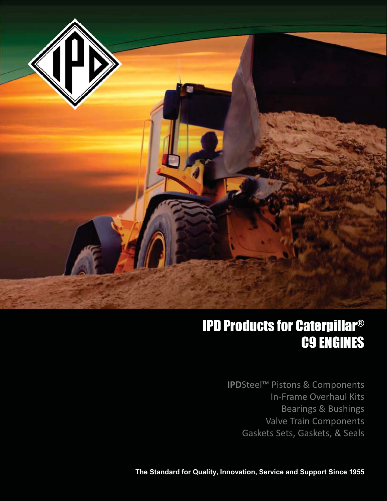

## IPD Products for Caterpillar® C9 ENGINES

**IPD**Steel™ Pistons & Components<br>In-Frame Overhaul Kits Bearings & Bushings Valve Train Components valve train components<br>ts Sats Gaskats & Saals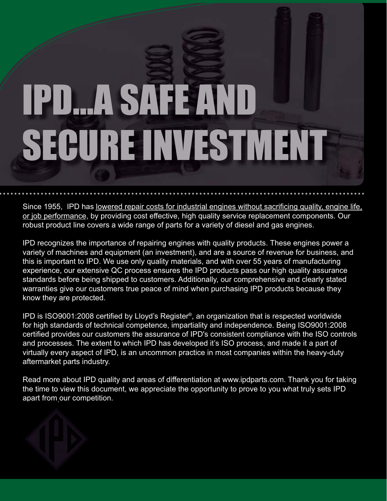

Since 1955, IPD has lowered repair costs for industrial engines without sacrificing quality, engine life, or job performance, by providing cost effective, high quality service replacement components. Our robust product line covers a wide range of parts for a variety of diesel and gas engines.

IPD recognizes the importance of repairing engines with quality products. These engines power a variety of machines and equipment (an investment), and are a source of revenue for business, and this is important to IPD. We use only quality materials, and with over 55 years of manufacturing experience, our extensive QC process ensures the IPD products pass our high quality assurance standards before being shipped to customers. Additionally, our comprehensive and clearly stated warranties give our customers true peace of mind when purchasing IPD products because they know they are protected.

IPD is ISO9001:2008 certified by Lloyd's Register<sup>®</sup>, an organization that is respected worldwide for high standards of technical competence, impartiality and independence. Being ISO9001:2008 certified provides our customers the assurance of IPD's consistent compliance with the ISO controls and processes. The extent to which IPD has developed it's ISO process, and made it a part of virtually every aspect of IPD, is an uncommon practice in most companies within the heavy-duty aftermarket parts industry.

Read more about IPD quality and areas of differentiation at www.ipdparts.com. Thank you for taking the time to view this document, we appreciate the opportunity to prove to you what truly sets IPD apart from our competition.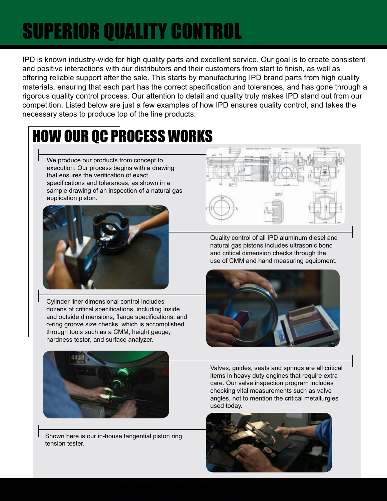# **SUPERIOR QUALITY CONTROL**

IPD is known industry-wide for high quality parts and excellent service. Our goal is to create consistent and positive interactions with our distributors and their customers from start to finish, as well as offering reliable support after the sale. This starts by manufacturing IPD brand parts from high quality materials, ensuring that each part has the correct specification and tolerances, and has gone through a rigorous quality control process. Our attention to detail and quality truly makes IPD stand out from our competition. Listed below are just a few examples of how IPD ensures quality control, and takes the necessary steps to produce top of the line products.

## HOW OUR QC PROCESS WORKS

We produce our products from concept to execution. Our process begins with a drawing that ensures the verification of exact specifications and tolerances, as shown in a sample drawing of an inspection of a natural gas application piston.



Cylinder liner dimensional control includes dozens of critical specifications, including inside and outside dimensions, flange specifications, and o-ring groove size checks, which is accomplished through tools such as a CMM, height gauge, hardness testor, and surface analyzer.



Quality control of all IPD aluminum diesel and natural gas pistons includes ultrasonic bond and critical dimension checks through the use of CMM and hand measuring equipment.





Shown here is our in-house tangential piston ring tension tester.

Valves, guides, seats and springs are all critical items in heavy duty engines that require extra care. Our valve inspection program includes checking vital measurements such as valve angles, not to mention the critical metallurgies used today.

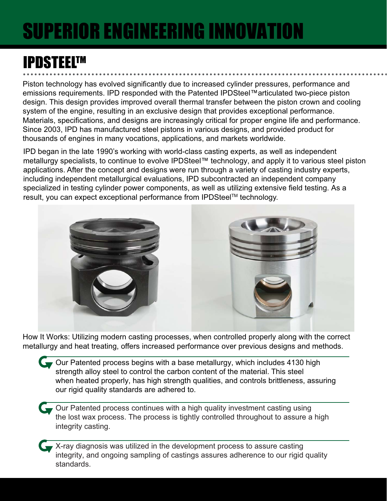# **SUPERIOR ENGINEERING INNOVATION**

## **IPDSTEELTM**

Piston technology has evolved significantly due to increased cylinder pressures, performance and emissions requirements. IPD responded with the Patented IPDSteel™articulated two-piece piston design. This design provides improved overall thermal transfer between the piston crown and cooling system of the engine, resulting in an exclusive design that provides exceptional performance. Materials, specifications, and designs are increasingly critical for proper engine life and performance. Since 2003, IPD has manufactured steel pistons in various designs, and provided product for thousands of engines in many vocations, applications, and markets worldwide.

IPD began in the late 1990's working with world-class casting experts, as well as independent metallurgy specialists, to continue to evolve IPDSteel™ technology, and apply it to various steel piston applications. After the concept and designs were run through a variety of casting industry experts, including independent metallurgical evaluations, IPD subcontracted an independent company specialized in testing cylinder power components, as well as utilizing extensive field testing. As a result, you can expect exceptional performance from IPDSteel™ technology.



How It Works: Utilizing modern casting processes, when controlled properly along with the correct metallurgy and heat treating, offers increased performance over previous designs and methods.

- Cour Patented process begins with a base metallurgy, which includes 4130 high strength alloy steel to control the carbon content of the material. This steel when heated properly, has high strength qualities, and controls brittleness, assuring our rigid quality standards are adhered to.
- Gour Patented process continues with a high quality investment casting using the lost wax process. The process is tightly controlled throughout to assure a high integrity casting.
	- X-ray diagnosis was utilized in the development process to assure casting integrity, and ongoing sampling of castings assures adherence to our rigid quality standards.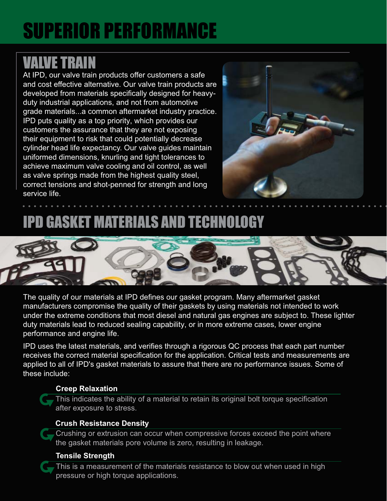# **SUPERIOR PERFORMANCE**

## **VALVE TRAIN**

At IPD, our valve train products offer customers a safe and cost effective alternative. Our valve train products are developed from materials specifically designed for heavyduty industrial applications, and not from automotive grade materials...a common aftermarket industry practice. IPD puts quality as a top priority, which provides our customers the assurance that they are not exposing their equipment to risk that could potentially decrease cylinder head life expectancy. Our valve guides maintain uniformed dimensions, knurling and tight tolerances to achieve maximum valve cooling and oil control, as well as valve springs made from the highest quality steel, correct tensions and shot-penned for strength and long service life.



## **IPD GASKET MATERIALS AND TECHNOLOGY**



The quality of our materials at IPD defines our gasket program. Many aftermarket gasket manufacturers compromise the quality of their gaskets by using materials not intended to work under the extreme conditions that most diesel and natural gas engines are subject to. These lighter duty materials lead to reduced sealing capability, or in more extreme cases, lower engine performance and engine life.

IPD uses the latest materials, and verifies through a rigorous QC process that each part number receives the correct material specification for the application. Critical tests and measurements are applied to all of IPD's gasket materials to assure that there are no performance issues. Some of these include:

### **Creep Relaxation**

This indicates the ability of a material to retain its original bolt torque specification after exposure to stress.

### **Crush Resistance Density**

Crushing or extrusion can occur when compressive forces exceed the point where the gasket materials pore volume is zero, resulting in leakage.

### **Tensile Strength**

This is a measurement of the materials resistance to blow out when used in high pressure or high torque applications.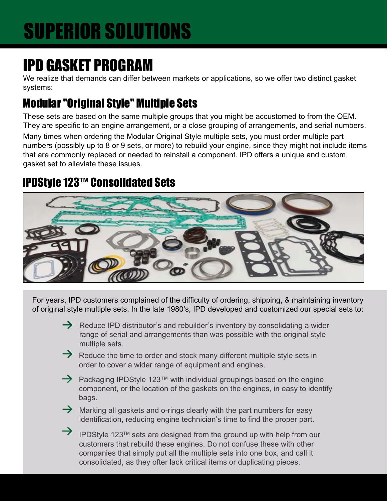# **SUPERIOR SOLUTIONS**

## **IPD GASKET PROGRAM**

We realize that demands can differ between markets or applications, so we offer two distinct gasket systems:

## **Modular "Original Style" Multiple Sets**

These sets are based on the same multiple groups that you might be accustomed to from the OEM. They are specific to an engine arrangement, or a close grouping of arrangements, and serial numbers. Many times when ordering the Modular Original Style multiple sets, you must order multiple part numbers (possibly up to 8 or 9 sets, or more) to rebuild your engine, since they might not include items that are commonly replaced or needed to reinstall a component. IPD offers a unique and custom gasket set to alleviate these issues.

## **IPDStyle 123™ Consolidated Sets**



For years, IPD customers complained of the difficulty of ordering, shipping, & maintaining inventory of original style multiple sets. In the late 1980's, IPD developed and customized our special sets to:

- $\rightarrow$  Reduce IPD distributor's and rebuilder's inventory by consolidating a wider range of serial and arrangements than was possible with the original style multiple sets.
- $\rightarrow$  Reduce the time to order and stock many different multiple style sets in order to cover a wider range of equipment and engines.
- $\rightarrow$  Packaging IPDStyle 123<sup>TM</sup> with individual groupings based on the engine component, or the location of the gaskets on the engines, in easy to identify bags.
- $\rightarrow$  Marking all gaskets and o-rings clearly with the part numbers for easy identification, reducing engine technician's time to find the proper part.
- $\rightarrow$ IPDStyle 123™ sets are designed from the ground up with help from our customers that rebuild these engines. Do not confuse these with other companies that simply put all the multiple sets into one box, and call it consolidated, as they ofter lack critical items or duplicating pieces.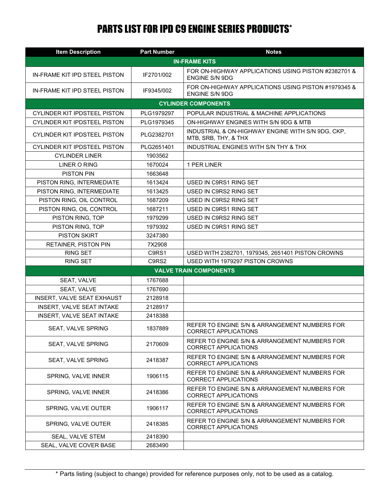## **PARTS LIST FOR IPD C9 ENGINE SERIES PRODUCTS\***

| <b>Item Description</b>             | <b>Part Number</b> | <b>Notes</b>                                                                 |  |  |
|-------------------------------------|--------------------|------------------------------------------------------------------------------|--|--|
| <b>IN-FRAME KITS</b>                |                    |                                                                              |  |  |
| IN-FRAME KIT IPD STEEL PISTON       | IF2701/002         | FOR ON-HIGHWAY APPLICATIONS USING PISTON #2382701 &<br><b>ENGINE S/N 9DG</b> |  |  |
| IN-FRAME KIT IPD STEEL PISTON       | IF9345/002         | FOR ON-HIGHWAY APPLICATIONS USING PISTON #1979345 &<br><b>ENGINE S/N 9DG</b> |  |  |
|                                     |                    | <b>CYLINDER COMPONENTS</b>                                                   |  |  |
| <b>CYLINDER KIT IPDSTEEL PISTON</b> | PLG1979297         | POPULAR INDUSTRIAL & MACHINE APPLICATIONS                                    |  |  |
| <b>CYLINDER KIT IPDSTEEL PISTON</b> | PLG1979345         | ON-HIGHWAY ENGINES WITH S/N 9DG & MTB                                        |  |  |
| <b>CYLINDER KIT IPDSTEEL PISTON</b> | PLG2382701         | INDUSTRIAL & ON-HIGHWAY ENGINE WITH S/N 9DG, CKP,<br>MTB, SRB, THY, & THX    |  |  |
| CYLINDER KIT IPDSTEEL PISTON        | PLG2651401         | INDUSTRIAL ENGINES WITH S/N THY & THX                                        |  |  |
| <b>CYLINDER LINER</b>               | 1903562            |                                                                              |  |  |
| LINER O RING                        | 1670024            | 1 PER LINER                                                                  |  |  |
| <b>PISTON PIN</b>                   | 1663648            |                                                                              |  |  |
| PISTON RING, INTERMEDIATE           | 1613424            | USED IN C9RS1 RING SET                                                       |  |  |
| PISTON RING, INTERMEDIATE           | 1613425            | USED IN C9RS2 RING SET                                                       |  |  |
| PISTON RING, OIL CONTROL            | 1687209            | USED IN C9RS2 RING SET                                                       |  |  |
| PISTON RING, OIL CONTROL            | 1687211            | USED IN C9RS1 RING SET                                                       |  |  |
| PISTON RING, TOP                    | 1979299            | USED IN C9RS2 RING SET                                                       |  |  |
| PISTON RING, TOP                    | 1979392            | USED IN C9RS1 RING SET                                                       |  |  |
| <b>PISTON SKIRT</b>                 | 3247380            |                                                                              |  |  |
| RETAINER, PISTON PIN                | 7X2908             |                                                                              |  |  |
| <b>RING SET</b>                     | C9RS1              | USED WITH 2382701, 1979345, 2651401 PISTON CROWNS                            |  |  |
| <b>RING SET</b>                     | C9RS2              | USED WITH 1979297 PISTON CROWNS                                              |  |  |
| <b>VALVE TRAIN COMPONENTS</b>       |                    |                                                                              |  |  |
| SEAT, VALVE                         | 1767688            |                                                                              |  |  |
| SEAT, VALVE                         | 1767690            |                                                                              |  |  |
| INSERT, VALVE SEAT EXHAUST          | 2128918            |                                                                              |  |  |
| INSERT, VALVE SEAT INTAKE           | 2128917            |                                                                              |  |  |
| INSERT, VALVE SEAT INTAKE           | 2418388            |                                                                              |  |  |
| <b>SEAT, VALVE SPRING</b>           | 1837889            | REFER TO ENGINE S/N & ARRANGEMENT NUMBERS FOR<br>CORRECT APPLICATIONS        |  |  |
| SEAT, VALVE SPRING                  | 2170609            | REFER TO ENGINE S/N & ARRANGEMENT NUMBERS FOR<br><b>CORRECT APPLICATIONS</b> |  |  |
| SEAT, VALVE SPRING                  | 2418387            | REFER TO ENGINE S/N & ARRANGEMENT NUMBERS FOR<br><b>CORRECT APPLICATIONS</b> |  |  |
| SPRING, VALVE INNER                 | 1906115            | REFER TO ENGINE S/N & ARRANGEMENT NUMBERS FOR<br><b>CORRECT APPLICATIONS</b> |  |  |
| SPRING, VALVE INNER                 | 2418386            | REFER TO ENGINE S/N & ARRANGEMENT NUMBERS FOR<br><b>CORRECT APPLICATIONS</b> |  |  |
| SPRING, VALVE OUTER                 | 1906117            | REFER TO ENGINE S/N & ARRANGEMENT NUMBERS FOR<br><b>CORRECT APPLICATIONS</b> |  |  |
| SPRING, VALVE OUTER                 | 2418385            | REFER TO ENGINE S/N & ARRANGEMENT NUMBERS FOR<br><b>CORRECT APPLICATIONS</b> |  |  |
| SEAL, VALVE STEM                    | 2418390            |                                                                              |  |  |
| SEAL, VALVE COVER BASE              | 2683490            |                                                                              |  |  |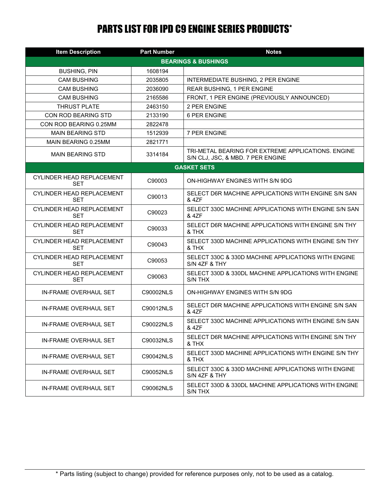## **PARTS LIST FOR IPD C9 ENGINE SERIES PRODUCTS\***

| <b>Item Description</b>                        | <b>Part Number</b>             | <b>Notes</b>                                                                            |  |  |  |
|------------------------------------------------|--------------------------------|-----------------------------------------------------------------------------------------|--|--|--|
|                                                | <b>BEARINGS &amp; BUSHINGS</b> |                                                                                         |  |  |  |
| <b>BUSHING, PIN</b>                            | 1608194                        |                                                                                         |  |  |  |
| <b>CAM BUSHING</b>                             | 2035805                        | INTERMEDIATE BUSHING, 2 PER ENGINE                                                      |  |  |  |
| <b>CAM BUSHING</b>                             | 2036090                        | <b>REAR BUSHING, 1 PER ENGINE</b>                                                       |  |  |  |
| <b>CAM BUSHING</b>                             | 2165586                        | FRONT, 1 PER ENGINE (PREVIOUSLY ANNOUNCED)                                              |  |  |  |
| <b>THRUST PLATE</b>                            | 2463150                        | 2 PER ENGINE                                                                            |  |  |  |
| <b>CON ROD BEARING STD</b>                     | 2133190                        | <b>6 PER ENGINE</b>                                                                     |  |  |  |
| CON ROD BEARING 0.25MM                         | 2822478                        |                                                                                         |  |  |  |
| <b>MAIN BEARING STD</b>                        | 1512939                        | 7 PER ENGINE                                                                            |  |  |  |
| MAIN BEARING 0.25MM                            | 2821771                        |                                                                                         |  |  |  |
| <b>MAIN BEARING STD</b>                        | 3314184                        | TRI-METAL BEARING FOR EXTREME APPLICATIONS. ENGINE<br>S/N CLJ, JSC, & MBD. 7 PER ENGINE |  |  |  |
| <b>GASKET SETS</b>                             |                                |                                                                                         |  |  |  |
| CYLINDER HEAD REPLACEMENT<br>SET               | C90003                         | ON-HIGHWAY ENGINES WITH S/N 9DG                                                         |  |  |  |
| <b>CYLINDER HEAD REPLACEMENT</b><br><b>SET</b> | C90013                         | SELECT D6R MACHINE APPLICATIONS WITH ENGINE S/N SAN<br>& 4ZF                            |  |  |  |
| <b>CYLINDER HEAD REPLACEMENT</b><br><b>SET</b> | C90023                         | SELECT 330C MACHINE APPLICATIONS WITH ENGINE S/N SAN<br>& 4ZF                           |  |  |  |
| <b>CYLINDER HEAD REPLACEMENT</b><br>SET        | C90033                         | SELECT D6R MACHINE APPLICATIONS WITH ENGINE S/N THY<br>& THX                            |  |  |  |
| <b>CYLINDER HEAD REPLACEMENT</b><br>SET        | C90043                         | SELECT 330D MACHINE APPLICATIONS WITH ENGINE S/N THY<br>& THX                           |  |  |  |
| <b>CYLINDER HEAD REPLACEMENT</b><br>SET        | C90053                         | SELECT 330C & 330D MACHINE APPLICATIONS WITH ENGINE<br>S/N 4ZF & THY                    |  |  |  |
| <b>CYLINDER HEAD REPLACEMENT</b><br><b>SET</b> | C90063                         | SELECT 330D & 330DL MACHINE APPLICATIONS WITH ENGINE<br>S/N THX                         |  |  |  |
| IN-FRAME OVERHAUL SET                          | C90002NLS                      | ON-HIGHWAY ENGINES WITH S/N 9DG                                                         |  |  |  |
| <b>IN-FRAME OVERHAUL SET</b>                   | C90012NLS                      | SELECT D6R MACHINE APPLICATIONS WITH ENGINE S/N SAN<br>& 4ZF                            |  |  |  |
| IN-FRAME OVERHAUL SET                          | C90022NLS                      | SELECT 330C MACHINE APPLICATIONS WITH ENGINE S/N SAN<br>& 4ZF                           |  |  |  |
| IN-FRAME OVERHAUL SET                          | C90032NLS                      | SELECT D6R MACHINE APPLICATIONS WITH ENGINE S/N THY<br>& THX                            |  |  |  |
| IN-FRAME OVERHAUL SET                          | C90042NLS                      | SELECT 330D MACHINE APPLICATIONS WITH ENGINE S/N THY<br>& THX                           |  |  |  |
| IN-FRAME OVERHAUL SET                          | C90052NLS                      | SELECT 330C & 330D MACHINE APPLICATIONS WITH ENGINE<br>S/N 4ZF & THY                    |  |  |  |
| IN-FRAME OVERHAUL SET                          | C90062NLS                      | SELECT 330D & 330DL MACHINE APPLICATIONS WITH ENGINE<br>S/N THX                         |  |  |  |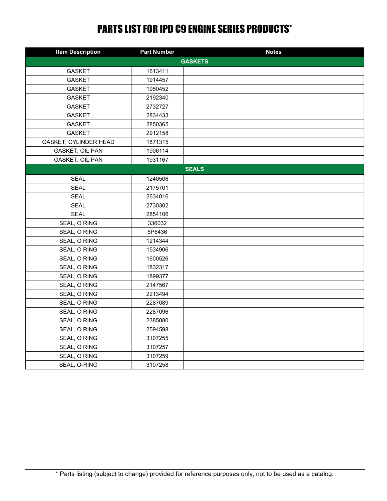## **PARTS LIST FOR IPD C9 ENGINE SERIES PRODUCTS\***

| <b>Item Description</b> | <b>Part Number</b> | <b>Notes</b> |  |  |
|-------------------------|--------------------|--------------|--|--|
| <b>GASKETS</b>          |                    |              |  |  |
| <b>GASKET</b>           | 1613411            |              |  |  |
| <b>GASKET</b>           | 1914457            |              |  |  |
| <b>GASKET</b>           | 1950452            |              |  |  |
| <b>GASKET</b>           | 2192340            |              |  |  |
| <b>GASKET</b>           | 2732727            |              |  |  |
| <b>GASKET</b>           | 2834433            |              |  |  |
| <b>GASKET</b>           | 2850365            |              |  |  |
| <b>GASKET</b>           | 2912158            |              |  |  |
| GASKET, CYLINDER HEAD   | 1871315            |              |  |  |
| GASKET, OIL PAN         | 1906114            |              |  |  |
| GASKET, OIL PAN         | 1931167            |              |  |  |
|                         |                    | <b>SEALS</b> |  |  |
| <b>SEAL</b>             | 1240506            |              |  |  |
| <b>SEAL</b>             | 2175701            |              |  |  |
| <b>SEAL</b>             | 2634016            |              |  |  |
| <b>SEAL</b>             | 2730302            |              |  |  |
| <b>SEAL</b>             | 2854106            |              |  |  |
| SEAL, O RING            | 336032             |              |  |  |
| SEAL, O RING            | 5P6436             |              |  |  |
| SEAL, O RING            | 1214344            |              |  |  |
| SEAL, O RING            | 1534906            |              |  |  |
| SEAL, O RING            | 1600526            |              |  |  |
| SEAL, O RING            | 1832317            |              |  |  |
| SEAL, O RING            | 1899377            |              |  |  |
| SEAL, O RING            | 2147567            |              |  |  |
| SEAL, O RING            | 2213494            |              |  |  |
| SEAL, O RING            | 2287089            |              |  |  |
| SEAL, O RING            | 2287096            |              |  |  |
| SEAL, O RING            | 2385080            |              |  |  |
| SEAL, O RING            | 2594598            |              |  |  |
| SEAL, O RING            | 3107255            |              |  |  |
| SEAL, O RING            | 3107257            |              |  |  |
| SEAL, O RING            | 3107259            |              |  |  |
| SEAL, O-RING            | 3107258            |              |  |  |